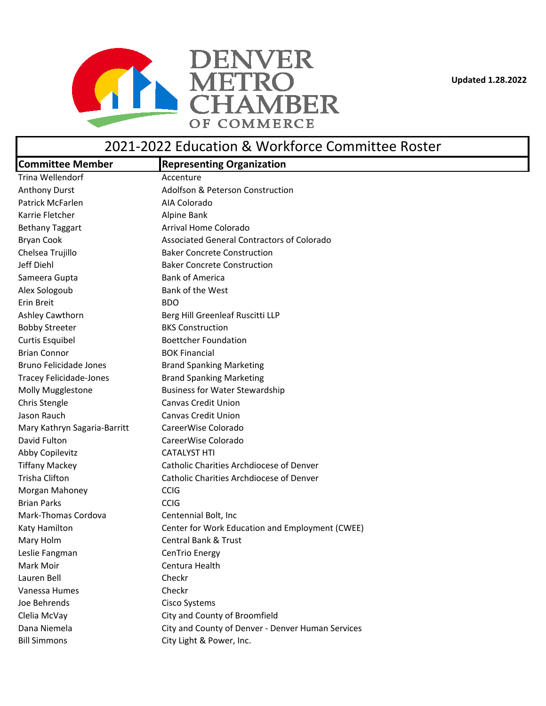**Updated 1.28.2022**



## 2021-2022 Education & Workforce Committee Roster

| <b>Committee Member</b>        | <b>Representing Organization</b>                  |
|--------------------------------|---------------------------------------------------|
| Trina Wellendorf               | Accenture                                         |
| <b>Anthony Durst</b>           | Adolfson & Peterson Construction                  |
| Patrick McFarlen               | AIA Colorado                                      |
| Karrie Fletcher                | Alpine Bank                                       |
| <b>Bethany Taggart</b>         | Arrival Home Colorado                             |
| <b>Bryan Cook</b>              | Associated General Contractors of Colorado        |
| Chelsea Trujillo               | <b>Baker Concrete Construction</b>                |
| Jeff Diehl                     | <b>Baker Concrete Construction</b>                |
| Sameera Gupta                  | <b>Bank of America</b>                            |
| Alex Sologoub                  | Bank of the West                                  |
| Erin Breit                     | <b>BDO</b>                                        |
| Ashley Cawthorn                | Berg Hill Greenleaf Ruscitti LLP                  |
| <b>Bobby Streeter</b>          | <b>BKS Construction</b>                           |
| <b>Curtis Esquibel</b>         | <b>Boettcher Foundation</b>                       |
| <b>Brian Connor</b>            | <b>BOK Financial</b>                              |
| Bruno Felicidade Jones         | <b>Brand Spanking Marketing</b>                   |
| <b>Tracey Felicidade-Jones</b> | <b>Brand Spanking Marketing</b>                   |
| Molly Mugglestone              | <b>Business for Water Stewardship</b>             |
| Chris Stengle                  | <b>Canvas Credit Union</b>                        |
| Jason Rauch                    | <b>Canvas Credit Union</b>                        |
| Mary Kathryn Sagaria-Barritt   | CareerWise Colorado                               |
| David Fulton                   | CareerWise Colorado                               |
| Abby Copilevitz                | <b>CATALYST HTI</b>                               |
| <b>Tiffany Mackey</b>          | Catholic Charities Archdiocese of Denver          |
| <b>Trisha Clifton</b>          | Catholic Charities Archdiocese of Denver          |
| Morgan Mahoney                 | <b>CCIG</b>                                       |
| <b>Brian Parks</b>             | <b>CCIG</b>                                       |
| Mark-Thomas Cordova            | Centennial Bolt, Inc                              |
| Katy Hamilton                  | Center for Work Education and Employment (CWEE)   |
| Mary Holm                      | <b>Central Bank &amp; Trust</b>                   |
| Leslie Fangman                 | CenTrio Energy                                    |
| Mark Moir                      | Centura Health                                    |
| Lauren Bell                    | Checkr                                            |
| Vanessa Humes                  | Checkr                                            |
| Joe Behrends                   | Cisco Systems                                     |
| Clelia McVay                   | City and County of Broomfield                     |
| Dana Niemela                   | City and County of Denver - Denver Human Services |
| <b>Bill Simmons</b>            | City Light & Power, Inc.                          |
|                                |                                                   |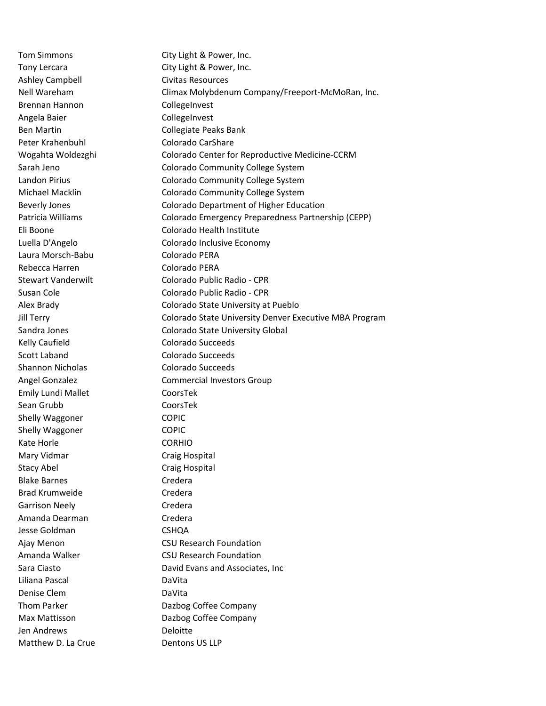Ashley Campbell Civitas Resources Brennan Hannon CollegeInvest Angela Baier **CollegeInvest** Ben Martin Collegiate Peaks Bank Peter Krahenbuhl Colorado CarShare Laura Morsch-Babu Colorado PERA Rebecca Harren Colorado PERA Kelly Caufield **Colorado Succeeds** Scott Laband Colorado Succeeds Shannon Nicholas Colorado Succeeds Emily Lundi Mallet CoorsTek Sean Grubb CoorsTek Shelly Waggoner COPIC Shelly Waggoner COPIC Kate Horle **CORHIO** Mary Vidmar **Craig Hospital** Stacy Abel Craig Hospital Blake Barnes **Credera** Brad Krumweide Credera Garrison Neely **Credera** Amanda Dearman **Credera** Jesse Goldman CSHQA Liliana Pascal DaVita Denise Clem DaVita Jen Andrews Deloitte Matthew D. La Crue Dentons US LLP

Tom Simmons City Light & Power, Inc. Tony Lercara **City Light & Power, Inc.** Nell Wareham Climax Molybdenum Company/Freeport-McMoRan, Inc. Wogahta Woldezghi Colorado Center for Reproductive Medicine-CCRM Sarah Jeno Colorado Community College System Landon Pirius Colorado Community College System Michael Macklin Colorado Community College System Beverly Jones Colorado Department of Higher Education Patricia Williams Colorado Emergency Preparedness Partnership (CEPP) Eli Boone Colorado Health Institute Luella D'Angelo Colorado Inclusive Economy Stewart Vanderwilt Colorado Public Radio - CPR Susan Cole **Colorado Public Radio - CPR** Alex Brady Colorado State University at Pueblo Jill Terry Colorado State University Denver Executive MBA Program Sandra Jones Colorado State University Global Angel Gonzalez **Commercial Investors Group** Ajay Menon CSU Research Foundation Amanda Walker CSU Research Foundation Sara Ciasto **David Evans and Associates, Inc.** Thom Parker **Dazbog Coffee Company** Max Mattisson Dazbog Coffee Company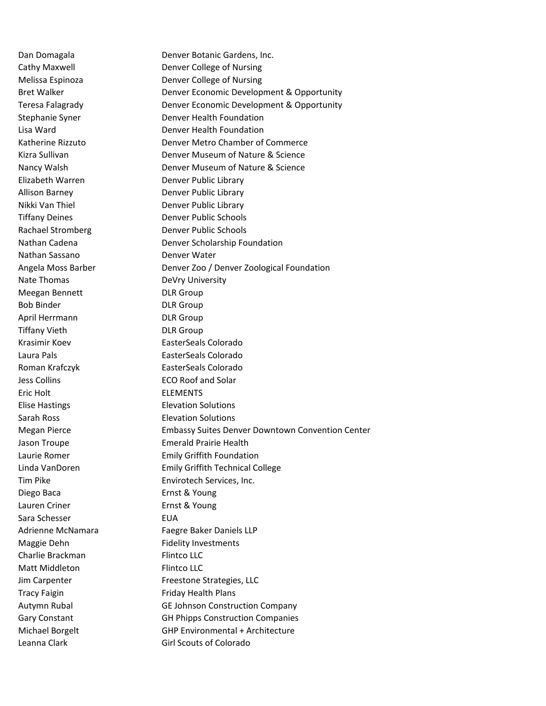Nathan Sassano **Denver Water** Nate Thomas **DeVry University** Meegan Bennett DLR Group Bob Binder DLR Group April Herrmann DLR Group Tiffany Vieth DLR Group Krasimir Koev EasterSeals Colorado Laura Pals EasterSeals Colorado Roman Krafczyk **EasterSeals Colorado** Jess Collins ECO Roof and Solar Eric Holt ELEMENTS Elise Hastings Elevation Solutions Sarah Ross Elevation Solutions Diego Baca **Ernst & Young** Lauren Criner **Ernst & Young** Sara Schesser **EUA** Maggie Dehn Fidelity Investments Charlie Brackman Flintco LLC Matt Middleton Flintco LLC Tracy Faigin Friday Health Plans

Dan Domagala **Denver Botanic Gardens, Inc.** Cathy Maxwell **Denver College of Nursing** Melissa Espinoza **Denver College of Nursing** Bret Walker **Denver Economic Development & Opportunity** Teresa Falagrady Denver Economic Development & Opportunity Stephanie Syner **Denver Health Foundation** Lisa Ward Denver Health Foundation Katherine Rizzuto Denver Metro Chamber of Commerce Kizra Sullivan Denver Museum of Nature & Science Nancy Walsh Denver Museum of Nature & Science Elizabeth Warren **Denver Public Library** Allison Barney **Denver Public Library** Nikki Van Thiel Denver Public Library Tiffany Deines **Denver Public Schools** Rachael Stromberg Denver Public Schools Nathan Cadena Denver Scholarship Foundation Angela Moss Barber Denver Zoo / Denver Zoological Foundation Megan Pierce Embassy Suites Denver Downtown Convention Center Jason Troupe **Emerald Prairie Health** Laurie Romer **Emily Griffith Foundation** Linda VanDoren Emily Griffith Technical College Tim Pike Envirotech Services, Inc. Adrienne McNamara Faegre Baker Daniels LLP Jim Carpenter Freestone Strategies, LLC Autymn Rubal GE Johnson Construction Company Gary Constant GH Phipps Construction Companies Michael Borgelt GHP Environmental + Architecture Leanna Clark Girl Scouts of Colorado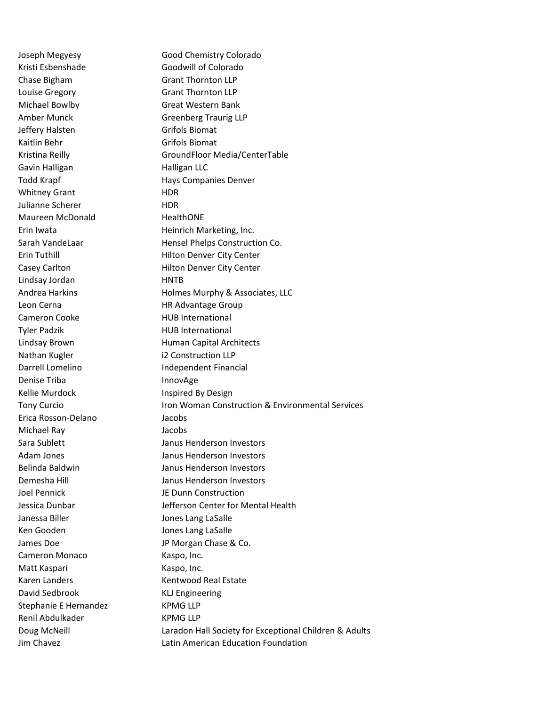Kristi Esbenshade Goodwill of Colorado Chase Bigham Grant Thornton LLP Louise Gregory Grant Thornton LLP Michael Bowlby Great Western Bank Jeffery Halsten Grifols Biomat Kaitlin Behr Grifols Biomat Gavin Halligan **Halligan** Halligan LLC Whitney Grant HDR Julianne Scherer **HDR** Maureen McDonald HealthONE Lindsay Jordan **HNTB** Leon Cerna **HR Advantage Group** Cameron Cooke HUB International Tyler Padzik **HUB** International Nathan Kugler i2 Construction LLP Denise Triba **Innov**Age Kellie Murdock **Inspired By Design** Erica Rosson-Delano Jacobs Michael Ray Jacobs Joel Pennick JE Dunn Construction Janessa Biller **Jones Lang LaSalle** Ken Gooden and Jones Lang LaSalle Cameron Monaco Kaspo, Inc. Matt Kaspari Kaspo, Inc. David Sedbrook KLJ Engineering Stephanie E Hernandez KPMG LLP Renil Abdulkader KPMG LLP

Joseph Megyesy Good Chemistry Colorado Amber Munck Greenberg Traurig LLP Kristina Reilly GroundFloor Media/CenterTable Todd Krapf **Hays Companies Denver** Erin Iwata **Heinrich Marketing, Inc.** Sarah VandeLaar Hensel Phelps Construction Co. Erin Tuthill **Example 20 Filton Denver City Center** Casey Carlton **Matter Community** Hilton Denver City Center Andrea Harkins **Holmes Murphy & Associates, LLC** Lindsay Brown **Human Capital Architects** Darrell Lomelino **Independent Financial** Tony Curcio Iron Woman Construction & Environmental Services Sara Sublett **Janus Henderson Investors** Adam Jones Janus Henderson Investors Belinda Baldwin Janus Henderson Investors Demesha Hill Janus Henderson Investors Jessica Dunbar Jefferson Center for Mental Health James Doe **JP Morgan Chase & Co.** Karen Landers Kentwood Real Estate Doug McNeill **Laradon Hall Society for Exceptional Children & Adults** Jim Chavez Latin American Education Foundation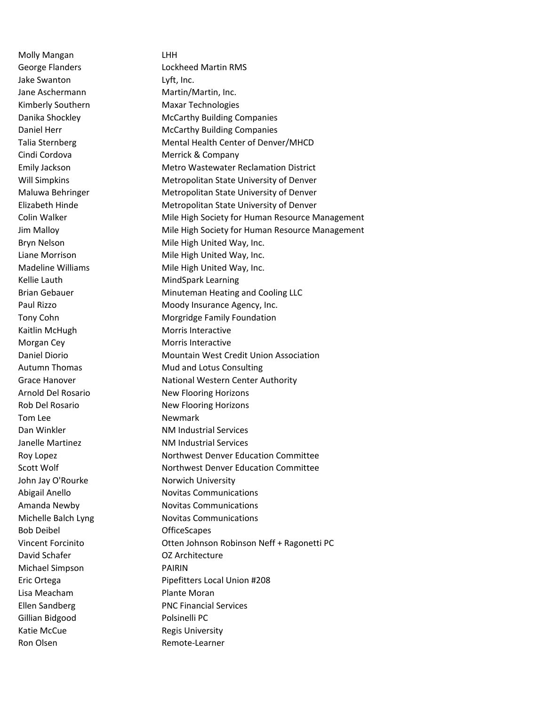Molly Mangan LHH Jake Swanton Lyft, Inc. Jane Aschermann Martin/Martin, Inc. Kimberly Southern Maxar Technologies Cindi Cordova **Merrick & Company** Kellie Lauth MindSpark Learning Kaitlin McHugh Morris Interactive Morgan Cey **Morgan Cey** Morris Interactive Tom Lee Newmark John Jay O'Rourke Norwich University Bob Deibel OfficeScapes David Schafer **Canadian COV** Architecture Michael Simpson PAIRIN Lisa Meacham **Plante Moran** Gillian Bidgood Polsinelli PC Katie McCue **Regis University** Ron Olsen **Remote-Learner** 

George Flanders **Lockheed Martin RMS** Danika Shockley McCarthy Building Companies Daniel Herr McCarthy Building Companies Talia Sternberg Mental Health Center of Denver/MHCD Emily Jackson Metro Wastewater Reclamation District Will Simpkins Metropolitan State University of Denver Maluwa Behringer Metropolitan State University of Denver Elizabeth Hinde Metropolitan State University of Denver Colin Walker **Mile High Society for Human Resource Management** Jim Malloy Mile High Society for Human Resource Management Bryn Nelson Mile High United Way, Inc. Liane Morrison **Mile High United Way, Inc.** Madeline Williams Mile High United Way, Inc. Brian Gebauer Minuteman Heating and Cooling LLC Paul Rizzo **Moody Insurance Agency, Inc.** Tony Cohn Morgridge Family Foundation Daniel Diorio **Mountain West Credit Union Association** Autumn Thomas Mud and Lotus Consulting Grace Hanover National Western Center Authority Arnold Del Rosario New Flooring Horizons Rob Del Rosario New Flooring Horizons Dan Winkler NM Industrial Services Janelle Martinez NM Industrial Services Roy Lopez **Northwest Denver Education Committee** Scott Wolf **Northwest Denver Education Committee** Abigail Anello Novitas Communications Amanda Newby Novitas Communications Michelle Balch Lyng Novitas Communications Vincent Forcinito Otten Johnson Robinson Neff + Ragonetti PC Eric Ortega **Pipefitters Local Union #208** Ellen Sandberg PNC Financial Services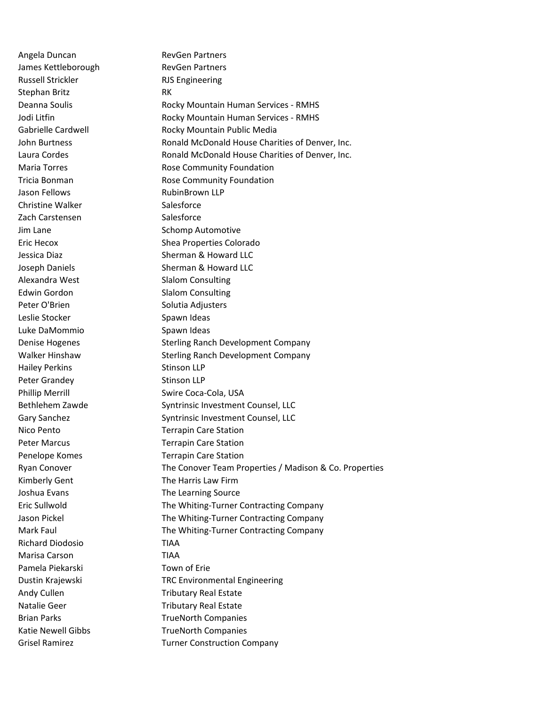Angela Duncan RevGen Partners James Kettleborough RevGen Partners Russell Strickler **RJS** Engineering Stephan Britz **RK** Jason Fellows **RubinBrown LLP** Christine Walker Salesforce Zach Carstensen Salesforce Alexandra West Slalom Consulting Edwin Gordon Slalom Consulting Peter O'Brien Solutia Adjusters Leslie Stocker Spawn Ideas Luke DaMommio Spawn Ideas Hailey Perkins Stinson LLP Peter Grandey Stinson LLP Kimberly Gent The Harris Law Firm Joshua Evans The Learning Source Richard Diodosio TIAA Marisa Carson TIAA Pamela Piekarski **National Experience Pamela Piekarski** 

Deanna Soulis **Rocky Mountain Human Services - RMHS** Jodi Litfin **No. 2018** Rocky Mountain Human Services - RMHS Gabrielle Cardwell **Rocky Mountain Public Media** John Burtness **Ronald McDonald House Charities of Denver, Inc.** Laura Cordes **Ronald McDonald House Charities of Denver, Inc.** Inc. Maria Torres **Rose Community Foundation** Tricia Bonman **Rose Community Foundation** Jim Lane Schomp Automotive Eric Hecox Shea Properties Colorado Jessica Diaz **Sherman & Howard LLC** Joseph Daniels Sherman & Howard LLC Denise Hogenes The Sterling Ranch Development Company Walker Hinshaw Sterling Ranch Development Company Phillip Merrill Swire Coca-Cola, USA Bethlehem Zawde Syntrinsic Investment Counsel, LLC Gary Sanchez Syntrinsic Investment Counsel, LLC Nico Pento Terrapin Care Station Peter Marcus Terrapin Care Station Penelope Komes Terrapin Care Station Ryan Conover The Conover Team Properties / Madison & Co. Properties Eric Sullwold The Whiting-Turner Contracting Company Jason Pickel **The Whiting-Turner Contracting Company** Mark Faul The Whiting-Turner Contracting Company Dustin Krajewski TRC Environmental Engineering Andy Cullen Tributary Real Estate Natalie Geer Tributary Real Estate Brian Parks TrueNorth Companies Katie Newell Gibbs TrueNorth Companies Grisel Ramirez Turner Construction Company